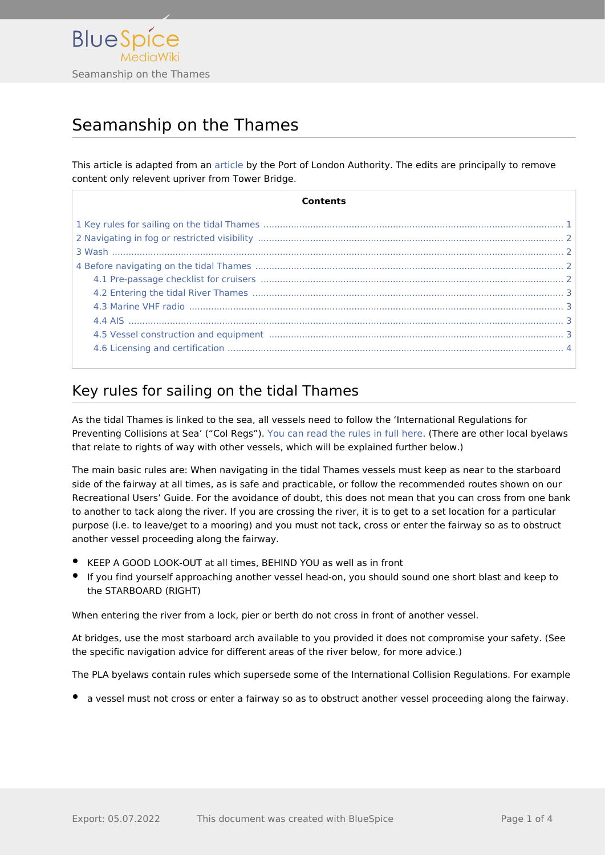

# Seamanship on the Thames

This article is adapted from an [article](https://boatingonthethames.co.uk/sailing-tidal-boating-on-the-thames-port-of-london-authority/) by the Port of London Authority. The edits are principally to remove content only relevent upriver from Tower Bridge.

| Contents                                                                                                                                                                                                                       |
|--------------------------------------------------------------------------------------------------------------------------------------------------------------------------------------------------------------------------------|
|                                                                                                                                                                                                                                |
|                                                                                                                                                                                                                                |
|                                                                                                                                                                                                                                |
|                                                                                                                                                                                                                                |
|                                                                                                                                                                                                                                |
|                                                                                                                                                                                                                                |
|                                                                                                                                                                                                                                |
|                                                                                                                                                                                                                                |
| 4.5 Vessel construction and equipment manufactured and construction and equipment manufactured and and the state of the state of the state of the state of the state of the state of the state of the state of the state of th |
|                                                                                                                                                                                                                                |

## <span id="page-0-0"></span>Key rules for sailing on the tidal Thames

As the tidal Thames is linked to the sea, all vessels need to follow the 'International Regulations for Preventing Collisions at Sea' ("Col Regs"). [You can read the rules in full here](https://assets.publishing.service.gov.uk/government/uploads/system/uploads/attachment_data/file/281965/msn1781.pdf). (There are other local byelaws that relate to rights of way with other vessels, which will be explained further below.)

The main basic rules are: When navigating in the tidal Thames vessels must keep as near to the starboard side of the fairway at all times, as is safe and practicable, or follow the recommended routes shown on our Recreational Users' Guide. For the avoidance of doubt, this does not mean that you can cross from one bank to another to tack along the river. If you are crossing the river, it is to get to a set location for a particular purpose (i.e. to leave/get to a mooring) and you must not tack, cross or enter the fairway so as to obstruct another vessel proceeding along the fairway.

- KEEP A GOOD LOOK-OUT at all times, BEHIND YOU as well as in front
- If you find yourself approaching another vessel head-on, you should sound one short blast and keep to the STARBOARD (RIGHT)

When entering the river from a lock, pier or berth do not cross in front of another vessel.

At bridges, use the most starboard arch available to you provided it does not compromise your safety. (See the specific navigation advice for different areas of the river below, for more advice.)

The PLA byelaws contain rules which supersede some of the International Collision Regulations. For example

a vessel must not cross or enter a fairway so as to obstruct another vessel proceeding along the fairway.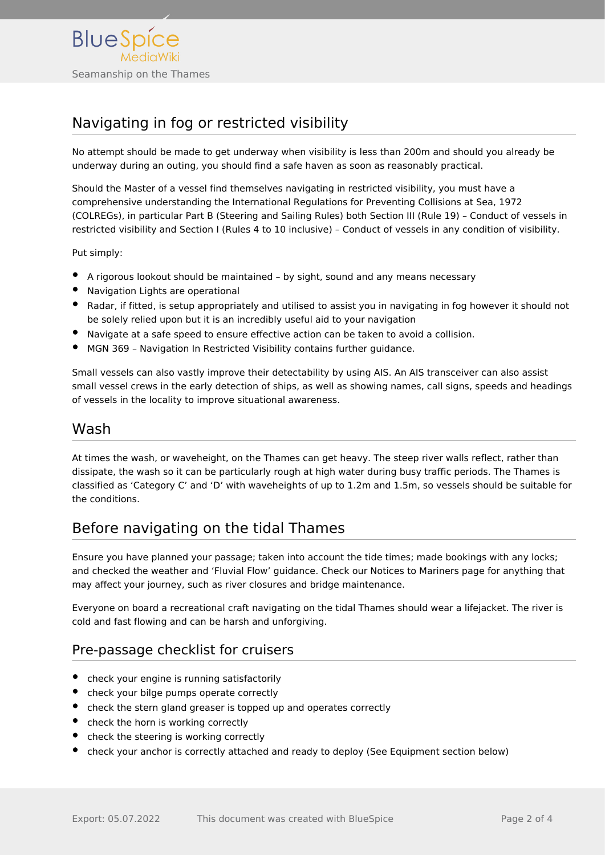

# <span id="page-1-0"></span>Navigating in fog or restricted visibility

No attempt should be made to get underway when visibility is less than 200m and should you already be underway during an outing, you should find a safe haven as soon as reasonably practical.

Should the Master of a vessel find themselves navigating in restricted visibility, you must have a comprehensive understanding the International Regulations for Preventing Collisions at Sea, 1972 (COLREGs), in particular Part B (Steering and Sailing Rules) both Section III (Rule 19) – Conduct of vessels in restricted visibility and Section I (Rules 4 to 10 inclusive) – Conduct of vessels in any condition of visibility.

Put simply:

- A rigorous lookout should be maintained by sight, sound and any means necessary
- Navigation Lights are operational
- Radar, if fitted, is setup appropriately and utilised to assist you in navigating in fog however it should not be solely relied upon but it is an incredibly useful aid to your navigation
- Navigate at a safe speed to ensure effective action can be taken to avoid a collision.
- MGN 369 Navigation In Restricted Visibility contains further guidance.

Small vessels can also vastly improve their detectability by using AIS. An AIS transceiver can also assist small vessel crews in the early detection of ships, as well as showing names, call signs, speeds and headings of vessels in the locality to improve situational awareness.

### <span id="page-1-1"></span>Wash

At times the wash, or waveheight, on the Thames can get heavy. The steep river walls reflect, rather than dissipate, the wash so it can be particularly rough at high water during busy traffic periods. The Thames is classified as 'Category C' and 'D' with waveheights of up to 1.2m and 1.5m, so vessels should be suitable for the conditions.

### <span id="page-1-2"></span>Before navigating on the tidal Thames

Ensure you have planned your passage; taken into account the tide times; made bookings with any locks; and checked the weather and 'Fluvial Flow' guidance. Check our Notices to Mariners page for anything that may affect your journey, such as river closures and bridge maintenance.

Everyone on board a recreational craft navigating on the tidal Thames should wear a lifejacket. The river is cold and fast flowing and can be harsh and unforgiving.

### <span id="page-1-3"></span>Pre-passage checklist for cruisers

- check your engine is running satisfactorily
- check your bilge pumps operate correctly
- check the stern gland greaser is topped up and operates correctly
- check the horn is working correctly
- check the steering is working correctly
- check your anchor is correctly attached and ready to deploy (See Equipment section below)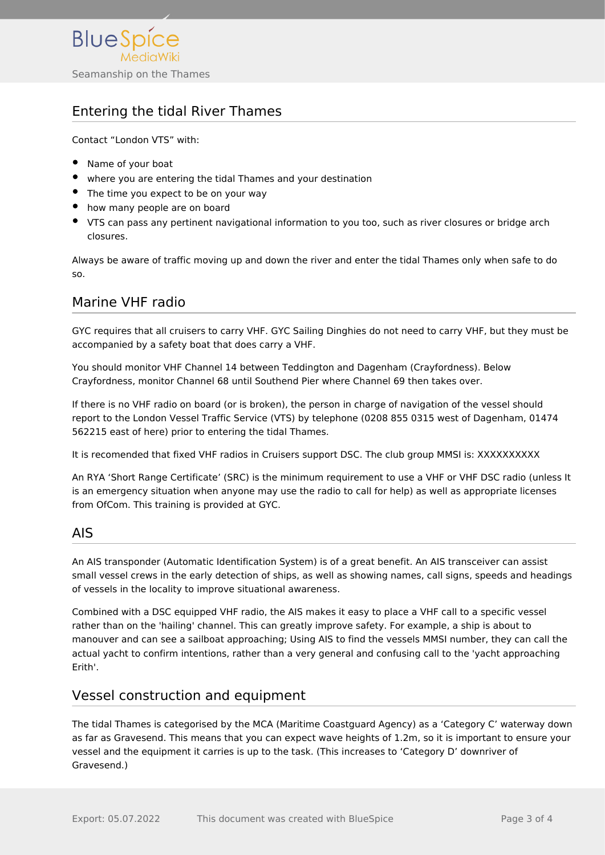

### <span id="page-2-0"></span>Entering the tidal River Thames

Contact "London VTS" with:

- Name of your boat
- where you are entering the tidal Thames and your destination
- The time you expect to be on your way
- how many people are on board
- VTS can pass any pertinent navigational information to you too, such as river closures or bridge arch closures.

Always be aware of traffic moving up and down the river and enter the tidal Thames only when safe to do so.

### <span id="page-2-1"></span>Marine VHF radio

GYC requires that all cruisers to carry VHF. GYC Sailing Dinghies do not need to carry VHF, but they must be accompanied by a safety boat that does carry a VHF.

You should monitor VHF Channel 14 between Teddington and Dagenham (Crayfordness). Below Crayfordness, monitor Channel 68 until Southend Pier where Channel 69 then takes over.

If there is no VHF radio on board (or is broken), the person in charge of navigation of the vessel should report to the London Vessel Traffic Service (VTS) by telephone (0208 855 0315 west of Dagenham, 01474 562215 east of here) prior to entering the tidal Thames.

It is recomended that fixed VHF radios in Cruisers support DSC. The club group MMSI is: XXXXXXXXXX

An RYA 'Short Range Certificate' (SRC) is the minimum requirement to use a VHF or VHF DSC radio (unless It is an emergency situation when anyone may use the radio to call for help) as well as appropriate licenses from OfCom. This training is provided at GYC.

### <span id="page-2-2"></span>AIS

An AIS transponder (Automatic Identification System) is of a great benefit. An AIS transceiver can assist small vessel crews in the early detection of ships, as well as showing names, call signs, speeds and headings of vessels in the locality to improve situational awareness.

Combined with a DSC equipped VHF radio, the AIS makes it easy to place a VHF call to a specific vessel rather than on the 'hailing' channel. This can greatly improve safety. For example, a ship is about to manouver and can see a sailboat approaching; Using AIS to find the vessels MMSI number, they can call the actual yacht to confirm intentions, rather than a very general and confusing call to the 'yacht approaching Erith'.

### <span id="page-2-3"></span>Vessel construction and equipment

The tidal Thames is categorised by the MCA (Maritime Coastguard Agency) as a 'Category C' waterway down as far as Gravesend. This means that you can expect wave heights of 1.2m, so it is important to ensure your vessel and the equipment it carries is up to the task. (This increases to 'Category D' downriver of Gravesend.)